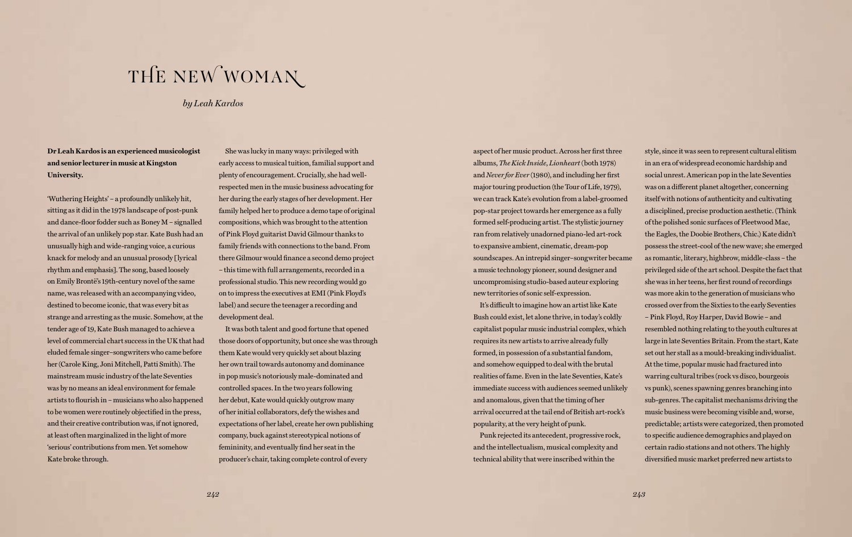**Dr Leah Kardos is an experienced musicologist and senior lecturer in music at Kingston University.**

'Wuthering Heights' – a profoundly unlikely hit, sitting as it did in the 1978 landscape of post-punk and dance-floor fodder such as Boney M – signalled the arrival of an unlikely pop star. Kate Bush had an unusually high and wide-ranging voice, a curious knack for melody and an unusual prosody [lyrical rhythm and emphasis]. The song, based loosely on Emily Brontë's 19th-century novel of the same name, was released with an accompanying video, destined to become iconic, that was every bit as strange and arresting as the music. Somehow, at the tender age of 19, Kate Bush managed to achieve a level of commercial chart success in the UK that had eluded female singer–songwriters who came before her (Carole King, Joni Mitchell, Patti Smith). The mainstream music industry of the late Seventies was by no means an ideal environment for female artists to flourish in – musicians who also happened to be women were routinely objectified in the press, and their creative contribution was, if not ignored, at least often marginalized in the light of more 'serious' contributions from men. Yet somehow Kate broke through.

She was lucky in many ways: privileged with early access to musical tuition, familial support and plenty of encouragement. Crucially, she had wellrespected men in the music business advocating for her during the early stages of her development. Her family helped her to produce a demo tape of original compositions, which was brought to the attention of Pink Floyd guitarist David Gilmour thanks to family friends with connections to the band. From there Gilmour would finance a second demo project – this time with full arrangements, recorded in a professional studio. This new recording would go on to impress the executives at EMI (Pink Floyd's label) and secure the teenager a recording and development deal.

It was both talent and good fortune that opened those doors of opportunity, but once she was through them Kate would very quickly set about blazing her own trail towards autonomy and dominance in pop music's notoriously male-dominated and controlled spaces. In the two years following her debut, Kate would quickly outgrow many of her initial collaborators, defy the wishes and expectations of her label, create her own publishing company, buck against stereotypical notions of femininity, and eventually find her seat in the producer's chair, taking complete control of every

aspect of her music product. Across her first three albums, *The Kick Inside*, *Lionheart* (both 1978) and *Never for Ever* (1980), and including her first major touring production (the Tour of Life, 1979), we can track Kate's evolution from a label-groomed pop-star project towards her emergence as a fully formed self-producing artist. The stylistic journey ran from relatively unadorned piano-led art-rock to expansive ambient, cinematic, dream-pop soundscapes. An intrepid singer–songwriter became a music technology pioneer, sound designer and uncompromising studio-based auteur exploring new territories of sonic self-expression.

It's difficult to imagine how an artist like Kate Bush could exist, let alone thrive, in today's coldly capitalist popular music industrial complex, which requires its new artists to arrive already fully formed, in possession of a substantial fandom, and somehow equipped to deal with the brutal realities of fame. Even in the late Seventies, Kate's immediate success with audiences seemed unlikely and anomalous, given that the timing of her arrival occurred at the tail end of British art-rock's popularity, at the very height of punk.

Punk rejected its antecedent, progressive rock, and the intellectualism, musical complexity and technical ability that were inscribed within the

style, since it was seen to represent cultural elitism in an era of widespread economic hardship and social unrest. American pop in the late Seventies was on a different planet altogether, concerning itself with notions of authenticity and cultivating a disciplined, precise production aesthetic. (Think of the polished sonic surfaces of Fleetwood Mac, the Eagles, the Doobie Brothers, Chic.) Kate didn't possess the street-cool of the new wave; she emerged as romantic, literary, highbrow, middle-class – the privileged side of the art school. Despite the fact that she was in her teens, her first round of recordings was more akin to the generation of musicians who crossed over from the Sixties to the early Seventies – Pink Floyd, Roy Harper, David Bowie – and resembled nothing relating to the youth cultures at large in late Seventies Britain. From the start, Kate set out her stall as a mould-breaking individualist. At the time, popular music had fractured into warring cultural tribes (rock vs disco, bourgeois vs punk), scenes spawning genres branching into sub-genres. The capitalist mechanisms driving the music business were becoming visible and, worse, predictable; artists were categorized, then promoted to specific audience demographics and played on certain radio stations and not others. The highly diversified music market preferred new artists to

## THE NEW WOMAN

*by Leah Kardos*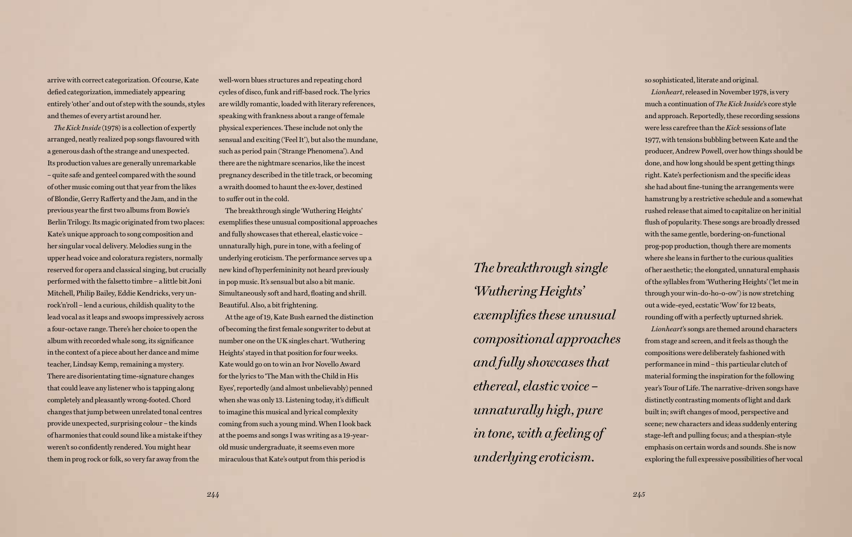arrive with correct categorization. Of course, Kate defied categorization, immediately appearing entirely 'other' and out of step with the sounds, styles and themes of every artist around her.

*The Kick Inside* (1978) is a collection of expertly arranged, neatly realized pop songs flavoured with a generous dash of the strange and unexpected. Its production values are generally unremarkable – quite safe and genteel compared with the sound of other music coming out that year from the likes of Blondie, Gerry Rafferty and the Jam, and in the previous year the first two albums from Bowie's Berlin Trilogy. Its magic originated from two places: Kate's unique approach to song composition and her singular vocal delivery. Melodies sung in the upper head voice and coloratura registers, normally reserved for opera and classical singing, but crucially performed with the falsetto timbre – a little bit Joni Mitchell, Philip Bailey, Eddie Kendricks, very unrock'n'roll – lend a curious, childish quality to the lead vocal as it leaps and swoops impressively across a four-octave range. There's her choice to open the album with recorded whale song, its significance in the context of a piece about her dance and mime teacher, Lindsay Kemp, remaining a mystery. There are disorientating time-signature changes that could leave any listener who is tapping along completely and pleasantly wrong-footed. Chord changes that jump between unrelated tonal centres provide unexpected, surprising colour – the kinds of harmonies that could sound like a mistake if they weren't so confidently rendered. You might hear them in prog rock or folk, so very far away from the

well-worn blues structures and repeating chord cycles of disco, funk and riff-based rock. The lyrics are wildly romantic, loaded with literary references, speaking with frankness about a range of female physical experiences. These include not only the sensual and exciting ('Feel It'), but also the mundane, such as period pain ('Strange Phenomena'). And there are the nightmare scenarios, like the incest pregnancy described in the title track, or becoming a wraith doomed to haunt the ex-lover, destined to suffer out in the cold.

The breakthrough single 'Wuthering Heights' exemplifies these unusual compositional approaches and fully showcases that ethereal, elastic voice – unnaturally high, pure in tone, with a feeling of underlying eroticism. The performance serves up a new kind of hyperfemininity not heard previously in pop music. It's sensual but also a bit manic. Simultaneously soft and hard, floating and shrill. Beautiful. Also, a bit frightening.

At the age of 19, Kate Bush earned the distinction of becoming the first female songwriter to debut at number one on the UK singles chart. 'Wuthering Heights' stayed in that position for four weeks. Kate would go on to win an Ivor Novello Award for the lyrics to 'The Man with the Child in His Eyes', reportedly (and almost unbelievably) penned when she was only 13. Listening today, it's difficult to imagine this musical and lyrical complexity coming from such a young mind. When I look back at the poems and songs I was writing as a 19-yearold music undergraduate, it seems even more miraculous that Kate's output from this period is

so sophisticated, literate and original.

*Lionheart*, released in November 1978, is very much a continuation of *The Kick Inside*'s core style and approach. Reportedly, these recording sessions were less carefree than the *Kick* sessions of late 1977, with tensions bubbling between Kate and the producer, Andrew Powell, over how things should be done, and how long should be spent getting things right. Kate's perfectionism and the specific ideas she had about fine-tuning the arrangements were hamstrung by a restrictive schedule and a somewhat rushed release that aimed to capitalize on her initial flush of popularity. These songs are broadly dressed with the same gentle, bordering-on-functional prog-pop production, though there are moments where she leans in further to the curious qualities of her aesthetic; the elongated, unnatural emphasis of the syllables from 'Wuthering Heights' ('let me in through your win-do-ho-o-ow') is now stretching out a wide-eyed, ecstatic 'Wow' for 12 beats, rounding off with a perfectly upturned shriek. *Lionheart*'s songs are themed around characters from stage and screen, and it feels as though the compositions were deliberately fashioned with performance in mind – this particular clutch of material forming the inspiration for the following year's Tour of Life. The narrative-driven songs have distinctly contrasting moments of light and dark built in; swift changes of mood, perspective and scene; new characters and ideas suddenly entering stage-left and pulling focus; and a thespian-style emphasis on certain words and sounds. She is now exploring the full expressive possibilities of her vocal

*The breakthrough single 'Wuthering Heights' exemplifies these unusual compositional approaches and fully showcases that ethereal, elastic voice – unnaturally high, pure in tone, with a feeling of underlying eroticism.*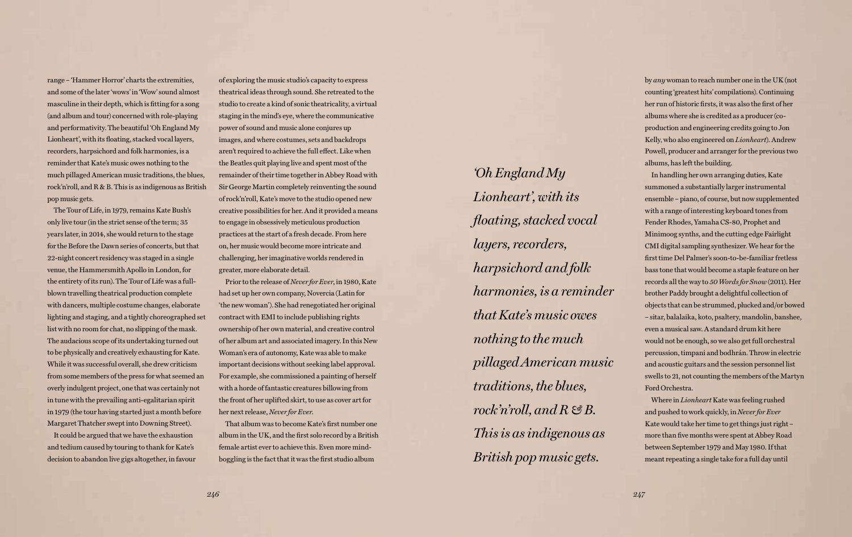range – 'Hammer Horror' charts the extremities, and some of the later 'wows' in 'Wow' sound almost masculine in their depth, which is fitting for a song (and album and tour) concerned with role-playing and performativity. The beautiful 'Oh England My Lionheart', with its floating, stacked vocal layers, recorders, harpsichord and folk harmonies, is a reminder that Kate's music owes nothing to the much pillaged American music traditions, the blues, rock'n'roll, and R & B. This is as indigenous as British pop music gets.

The Tour of Life, in 1979, remains Kate Bush's only live tour (in the strict sense of the term; 35 years later, in 2014, she would return to the stage for the Before the Dawn series of concerts, but that 22-night concert residency was staged in a single venue, the Hammersmith Apollo in London, for the entirety of its run). The Tour of Life was a fullblown travelling theatrical production complete with dancers, multiple costume changes, elaborate lighting and staging, and a tightly choreographed set list with no room for chat, no slipping of the mask. The audacious scope of its undertaking turned out to be physically and creatively exhausting for Kate. While it was successful overall, she drew criticism from some members of the press for what seemed an overly indulgent project, one that was certainly not in tune with the prevailing anti-egalitarian spirit in 1979 (the tour having started just a month before Margaret Thatcher swept into Downing Street).

It could be argued that we have the exhaustion and tedium caused by touring to thank for Kate's decision to abandon live gigs altogether, in favour

of exploring the music studio's capacity to express theatrical ideas through sound. She retreated to the studio to create a kind of sonic theatricality, a virtual staging in the mind's eye, where the communicative power of sound and music alone conjures up images, and where costumes, sets and backdrops aren't required to achieve the full effect. Like when the Beatles quit playing live and spent most of the remainder of their time together in Abbey Road with Sir George Martin completely reinventing the sound of rock'n'roll, Kate's move to the studio opened new creative possibilities for her. And it provided a means to engage in obsessively meticulous production practices at the start of a fresh decade. From here on, her music would become more intricate and challenging, her imaginative worlds rendered in greater, more elaborate detail.

Prior to the release of *Never for Ever*, in 1980, Kate had set up her own company, Novercia (Latin for 'the new woman'). She had renegotiated her original contract with EMI to include publishing rights ownership of her own material, and creative control of her album art and associated imagery. In this New Woman's era of autonomy, Kate was able to make important decisions without seeking label approval. For example, she commissioned a painting of herself with a horde of fantastic creatures billowing from the front of her uplifted skirt, to use as cover art for her next release, *Never for Ever*.

That album was to become Kate's first number one album in the UK, and the first solo record by a British female artist ever to achieve this. Even more mindboggling is the fact that it was the first studio album

by *any* woman to reach number one in the UK (not counting 'greatest hits' compilations). Continuing her run of historic firsts, it was also the first of her albums where she is credited as a producer (coproduction and engineering credits going to Jon Kelly, who also engineered on *Lionheart*). Andrew Powell, producer and arranger for the previous two albums, has left the building.

In handling her own arranging duties, Kate summoned a substantially larger instrumental ensemble – piano, of course, but now supplemented with a range of interesting keyboard tones from Fender Rhodes, Yamaha CS-80, Prophet and Minimoog synths, and the cutting edge Fairlight CMI digital sampling synthesizer. We hear for the first time Del Palmer's soon-to-be-familiar fretless bass tone that would become a staple feature on her records all the way to *50 Words for Snow* (2011). Her brother Paddy brought a delightful collection of objects that can be strummed, plucked and/or bowed – sitar, balalaika, koto, psaltery, mandolin, banshee, even a musical saw. A standard drum kit here would not be enough, so we also get full orchestral percussion, timpani and bodhrán. Throw in electric and acoustic guitars and the session personnel list swells to 21, not counting the members of the Martyn

Ford Orchestra.

Where in *Lionheart* Kate was feeling rushed and pushed to work quickly, in *Never for Ever*  Kate would take her time to get things just right – more than five months were spent at Abbey Road between September 1979 and May 1980. If that meant repeating a single take for a full day until

*'Oh England My Lionheart', with its floating, stacked vocal layers, recorders, harpsichord and folk harmonies, is a reminder that Kate's music owes nothing to the much pillaged American music traditions, the blues, rock'n'roll, and R & B. This is as indigenous as British pop music gets.*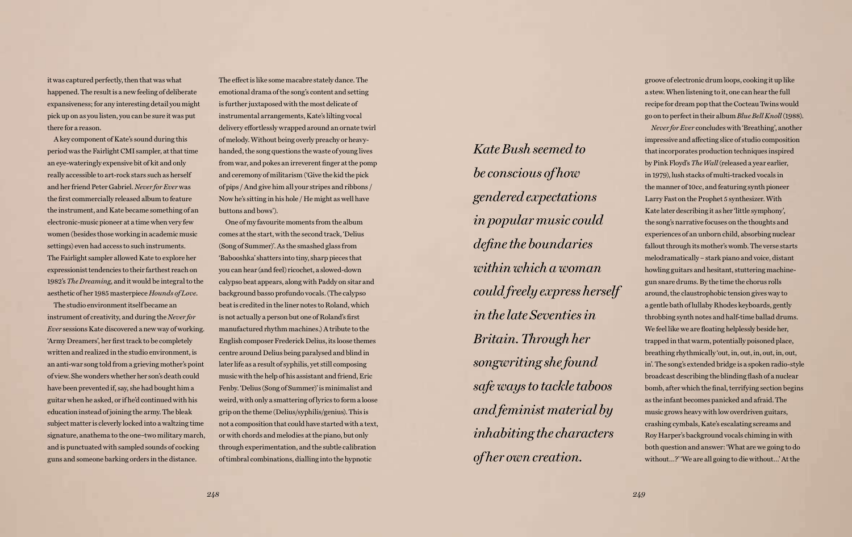it was captured perfectly, then that was what happened. The result is a new feeling of deliberate expansiveness; for any interesting detail you might pick up on as you listen, you can be sure it was put there for a reason.

A key component of Kate's sound during this period was the Fairlight CMI sampler, at that time an eye-wateringly expensive bit of kit and only really accessible to art-rock stars such as herself and her friend Peter Gabriel. *Never for Ever* was the first commercially released album to feature the instrument, and Kate became something of an electronic-music pioneer at a time when very few women (besides those working in academic music settings) even had access to such instruments. The Fairlight sampler allowed Kate to explore her expressionist tendencies to their farthest reach on 1982's *The Dreaming*, and it would be integral to the aesthetic of her 1985 masterpiece *Hounds of Love*.

The studio environment itself became an instrument of creativity, and during the *Never for Ever* sessions Kate discovered a new way of working. 'Army Dreamers', her first track to be completely written and realized in the studio environment, is an anti-war song told from a grieving mother's point of view. She wonders whether her son's death could have been prevented if, say, she had bought him a guitar when he asked, or if he'd continued with his education instead of joining the army. The bleak subject matter is cleverly locked into a waltzing time signature, anathema to the one–two military march, and is punctuated with sampled sounds of cocking guns and someone barking orders in the distance.

The effect is like some macabre stately dance. The emotional drama of the song's content and setting is further juxtaposed with the most delicate of instrumental arrangements, Kate's lilting vocal delivery effortlessly wrapped around an ornate twirl of melody. Without being overly preachy or heavyhanded, the song questions the waste of young lives from war, and pokes an irreverent finger at the pomp and ceremony of militarism ('Give the kid the pick of pips / And give him all your stripes and ribbons / Now he's sitting in his hole / He might as well have buttons and bows').

One of my favourite moments from the album comes at the start, with the second track, 'Delius (Song of Summer)'. As the smashed glass from 'Babooshka' shatters into tiny, sharp pieces that you can hear (and feel) ricochet, a slowed-down calypso beat appears, along with Paddy on sitar and background basso profundo vocals. (The calypso beat is credited in the liner notes to Roland, which is not actually a person but one of Roland's first manufactured rhythm machines.) A tribute to the English composer Frederick Delius, its loose themes centre around Delius being paralysed and blind in later life as a result of syphilis, yet still composing music with the help of his assistant and friend, Eric Fenby. 'Delius (Song of Summer)' is minimalist and weird, with only a smattering of lyrics to form a loose grip on the theme (Delius/syphilis/genius). This is not a composition that could have started with a text, or with chords and melodies at the piano, but only through experimentation, and the subtle calibration of timbral combinations, dialling into the hypnotic

groove of electronic drum loops, cooking it up like a stew. When listening to it, one can hear the full recipe for dream pop that the Cocteau Twins would go on to perfect in their album *Blue Bell Knoll* (1988). *Never for Ever* concludes with 'Breathing', another impressive and affecting slice of studio composition that incorporates production techniques inspired by Pink Floyd's *The Wall* (released a year earlier, in 1979), lush stacks of multi-tracked vocals in the manner of 10cc, and featuring synth pioneer Larry Fast on the Prophet 5 synthesizer. With Kate later describing it as her 'little symphony', the song's narrative focuses on the thoughts and experiences of an unborn child, absorbing nuclear fallout through its mother's womb. The verse starts melodramatically – stark piano and voice, distant howling guitars and hesitant, stuttering machinegun snare drums. By the time the chorus rolls around, the claustrophobic tension gives way to a gentle bath of lullaby Rhodes keyboards, gently throbbing synth notes and half-time ballad drums. We feel like we are floating helplessly beside her, trapped in that warm, potentially poisoned place, breathing rhythmically 'out, in, out, in, out, in, out, in'. The song's extended bridge is a spoken radio-style broadcast describing the blinding flash of a nuclear bomb, after which the final, terrifying section begins as the infant becomes panicked and afraid. The music grows heavy with low overdriven guitars, crashing cymbals, Kate's escalating screams and Roy Harper's background vocals chiming in with both question and answer: 'What are we going to do without…?' 'We are all going to die without…' At the

*Kate Bush seemed to be conscious of how gendered expectations in popular music could define the boundaries within which a woman could freely express herself in the late Seventies in Britain. Through her songwriting she found safe ways to tackle taboos and feminist material by inhabiting the characters of her own creation.*